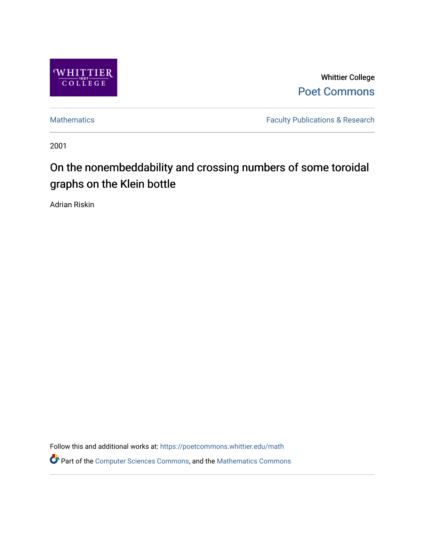

Whittier College [Poet Commons](https://poetcommons.whittier.edu/) 

[Mathematics](https://poetcommons.whittier.edu/math) **Faculty Publications & Research** 

2001

# On the nonembeddability and crossing numbers of some toroidal graphs on the Klein bottle

Adrian Riskin

Follow this and additional works at: [https://poetcommons.whittier.edu/math](https://poetcommons.whittier.edu/math?utm_source=poetcommons.whittier.edu%2Fmath%2F4&utm_medium=PDF&utm_campaign=PDFCoverPages) Part of the [Computer Sciences Commons](http://network.bepress.com/hgg/discipline/142?utm_source=poetcommons.whittier.edu%2Fmath%2F4&utm_medium=PDF&utm_campaign=PDFCoverPages), and the [Mathematics Commons](http://network.bepress.com/hgg/discipline/174?utm_source=poetcommons.whittier.edu%2Fmath%2F4&utm_medium=PDF&utm_campaign=PDFCoverPages)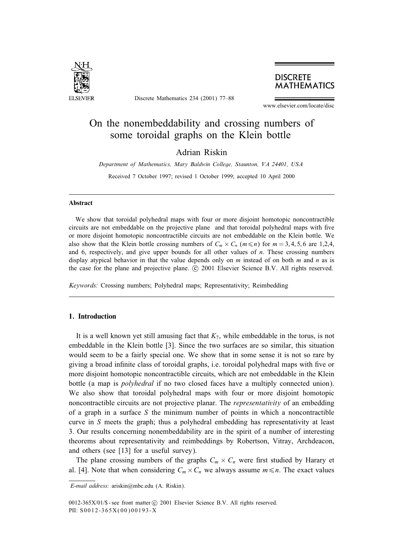

Discrete Mathematics 234 (2001) 77–88

### **DISCRETE MATHEMATICS**

www.elsevier.com/locate/disc

## On the nonembeddability and crossing numbers of some toroidal graphs on the Klein bottle

Adrian Riskin

*Department of Mathematics, Mary Baldwin College, Staunton, VA 24401, USA*

Received 7 October 1997; revised 1 October 1999; accepted 10 April 2000

#### Abstract

We show that toroidal polyhedral maps with four or more disjoint homotopic noncontractible circuits are not embeddable on the projective plane and that toroidal polyhedral maps with five or more disjoint homotopic noncontractible circuits are not embeddable on the Klein bottle. We also show that the Klein bottle crossing numbers of  $C_m \times C_n$  ( $m \le n$ ) for  $m = 3, 4, 5, 6$  are 1,2,4, and 6, respectively, and give upper bounds for all other values of  $n$ . These crossing numbers display atypical behavior in that the value depends only on  $m$  instead of on both  $m$  and  $n$  as is the case for the plane and projective plane.  $\odot$  2001 Elsevier Science B.V. All rights reserved.

*Keywords:* Crossing numbers; Polyhedral maps; Representativity; Reimbedding

#### 1. Introduction

It is a well known yet still amusing fact that  $K_7$ , while embeddable in the torus, is not embeddable in the Klein bottle [3]. Since the two surfaces are so similar, this situation would seem to be a fairly special one. We show that in some sense it is not so rare by giving a broad infinite class of toroidal graphs, i.e. toroidal polyhedral maps with five or more disjoint homotopic noncontractible circuits, which are not embeddable in the Klein bottle (a map is *polyhedral* if no two closed faces have a multiplyconnected union). We also show that toroidal polyhedral maps with four or more disjoint homotopic noncontractible circuits are not projective planar. The *representativity* of an embedding of a graph in a surface  $S$  the minimum number of points in which a noncontractible curve in  $S$  meets the graph; thus a polyhedral embedding has representativity at least 3. Our results concerning nonembeddabilityare in the spirit of a number of interesting theorems about representativity and reimbeddings by Robertson, Vitray, Archdeacon, and others (see [13] for a useful survey).

The plane crossing numbers of the graphs  $C_m \times C_n$  were first studied by Harary et al. [4]. Note that when considering  $C_m \times C_n$  we always assume  $m \leq n$ . The exact values

 $0012-365X/01/\$$  - see front matter  $\odot$  2001 Elsevier Science B.V. All rights reserved. PII: S0012-365X(00)00193-X

*E-mail address:* ariskin@mbc.edu (A. Riskin).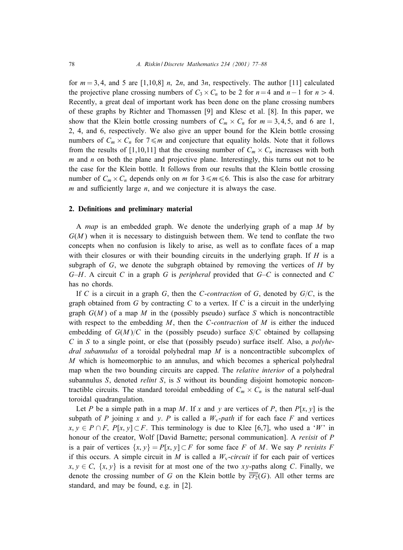for  $m = 3, 4$ , and 5 are [1,10,8] n, 2n, and 3n, respectively. The author [11] calculated the projective plane crossing numbers of  $C_3 \times C_n$  to be 2 for  $n=4$  and  $n-1$  for  $n > 4$ . Recently, a great deal of important work has been done on the plane crossing numbers of these graphs by Richter and Thomassen [9] and Klesc et al. [8]. In this paper, we show that the Klein bottle crossing numbers of  $C_m \times C_n$  for  $m = 3, 4, 5$ , and 6 are 1, 2, 4, and 6, respectively. We also give an upper bound for the Klein bottle crossing numbers of  $C_m \times C_n$  for  $7 \le m$  and conjecture that equality holds. Note that it follows from the results of [1,10,11] that the crossing number of  $C_m \times C_n$  increases with both  $m$  and  $n$  on both the plane and projective plane. Interestingly, this turns out not to be the case for the Klein bottle. It follows from our results that the Klein bottle crossing number of  $C_m \times C_n$  depends only on m for  $3 \le m \le 6$ . This is also the case for arbitrary  $m$  and sufficiently large  $n$ , and we conjecture it is always the case.

#### 2. Definitions and preliminary material

A *map* is an embedded graph. We denote the underlying graph of a map M by  $G(M)$  when it is necessary to distinguish between them. We tend to conflate the two concepts when no confusion is likely to arise, as well as to conflate faces of a map with their closures or with their bounding circuits in the underlying graph. If  $H$  is a subgraph of  $G$ , we denote the subgraph obtained by removing the vertices of  $H$  by G–H. A circuit C in a graph G is *peripheral* provided that G–C is connected and C has no chords.

If C is a circuit in a graph G, then the C-*contraction* of G, denoted by  $G/C$ , is the graph obtained from  $G$  by contracting  $C$  to a vertex. If  $C$  is a circuit in the underlying graph  $G(M)$  of a map M in the (possibly pseudo) surface S which is noncontractible with respect to the embedding M, then the C-*contraction* of M is either the induced embedding of  $G(M)/C$  in the (possibly pseudo) surface  $S/C$  obtained by collapsing C in S to a single point, or else that (possibly pseudo) surface itself. Also, a *polyhedral subannulus* of a toroidal polyhedral map M is a noncontractible subcomplex of M which is homeomorphic to an annulus, and which becomes a spherical polyhedral map when the two bounding circuits are capped. The *relative interior* of a polyhedral subannulus S, denoted *relint* S, is S without its bounding disjoint homotopic noncontractible circuits. The standard toroidal embedding of  $C_m \times C_n$  is the natural self-dual toroidal quadrangulation.

Let P be a simple path in a map M. If x and y are vertices of P, then  $P[x, y]$  is the subpath of P joining x and y. P is called a  $W_v$ -path if for each face F and vertices  $x, y \in P \cap F$ ,  $P[x, y] \subset F$ . This terminology is due to Klee [6,7], who used a 'W' in honour of the creator, Wolf [David Barnette; personal communication]. A *revisit* of P is a pair of vertices  $\{x, y\} = P[x, y] \subset F$  for some face F of M. We say P *revisits* F if this occurs. A simple circuit in M is called a  $W_v$ -circuit if for each pair of vertices  $x, y \in C$ ,  $\{x, y\}$  is a revisit for at most one of the two xy-paths along C. Finally, we denote the crossing number of G on the Klein bottle by  $\overline{cr_2}(G)$ . All other terms are standard, and may be found, e.g. in [2].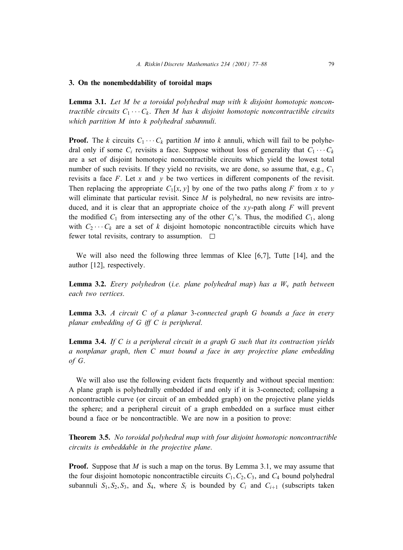#### 3. On the nonembeddability of toroidal maps

Lemma 3.1. *Let* M *be a toroidal polyhedral map with k disjoint homotopic noncontractible circuits*  $C_1 \cdots C_k$ . *Then M has k disjoint homotopic noncontractible circuits which partition* M *into* k *polyhedral subannuli*.

**Proof.** The k circuits  $C_1 \cdots C_k$  partition M into k annuli, which will fail to be polyhedral only if some  $C_i$  revisits a face. Suppose without loss of generality that  $C_1 \cdots C_k$ are a set of disjoint homotopic noncontractible circuits which yield the lowest total number of such revisits. If they yield no revisits, we are done, so assume that, e.g.,  $C_1$ revisits a face  $F$ . Let x and y be two vertices in different components of the revisit. Then replacing the appropriate  $C_1[x, y]$  by one of the two paths along F from x to y will eliminate that particular revisit. Since  $M$  is polyhedral, no new revisits are introduced, and it is clear that an appropriate choice of the  $xy$ -path along  $F$  will prevent the modified  $C_1$  from intersecting any of the other  $C_i$ 's. Thus, the modified  $C_1$ , along with  $C_2 \cdots C_k$  are a set of k disjoint homotopic noncontractible circuits which have fewer total revisits, contrary to assumption.  $\square$ 

We will also need the following three lemmas of Klee [6,7], Tutte [14], and the author [12], respectively.

**Lemma 3.2.** *Every polyhedron* (*i.e. plane polyhedral map*) *has a*  $W_y$  *path between each two vertices*.

Lemma 3.3. *A circuit* C *of a planar* 3-*connected graph* G *bounds a face in every planar embedding of* G *i4* C *is peripheral*.

Lemma 3.4. *If* C *is a peripheral circuit in a graph* G *such that its contraction yields a nonplanar graph*; *then* C *must bound a face in any projective plane embedding of* G.

We will also use the following evident facts frequently and without special mention: A plane graph is polyhedrally embedded if and only if it is 3-connected; collapsing a noncontractible curve (or circuit of an embedded graph) on the projective plane yields the sphere; and a peripheral circuit of a graph embedded on a surface must either bound a face or be noncontractible. We are now in a position to prove:

Theorem 3.5. *No toroidal polyhedral map with four disjoint homotopic noncontractible circuits is embeddable in the projective plane*.

**Proof.** Suppose that  $M$  is such a map on the torus. By Lemma 3.1, we may assume that the four disjoint homotopic noncontractible circuits  $C_1, C_2, C_3$ , and  $C_4$  bound polyhedral subannuli  $S_1, S_2, S_3$ , and  $S_4$ , where  $S_i$  is bounded by  $C_i$  and  $C_{i+1}$  (subscripts taken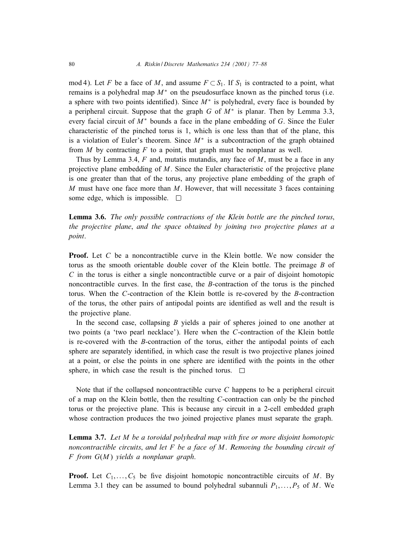mod 4). Let F be a face of M, and assume  $F \subset S_1$ . If  $S_1$  is contracted to a point, what remains is a polyhedral map  $M^*$  on the pseudosurface known as the pinched torus (i.e. a sphere with two points identified). Since  $M^*$  is polyhedral, every face is bounded by a peripheral circuit. Suppose that the graph G of  $M^*$  is planar. Then by Lemma 3.3, every facial circuit of  $M^*$  bounds a face in the plane embedding of G. Since the Euler characteristic of the pinched torus is 1, which is one less than that of the plane, this is a violation of Euler's theorem. Since  $M^*$  is a subcontraction of the graph obtained from  $M$  by contracting  $F$  to a point, that graph must be nonplanar as well.

Thus by Lemma 3.4,  $F$  and, mutatis mutandis, any face of  $M$ , must be a face in any projective plane embedding of  $M$ . Since the Euler characteristic of the projective plane is one greater than that of the torus, anyprojective plane embedding of the graph of  $M$  must have one face more than  $M$ . However, that will necessitate 3 faces containing some edge, which is impossible.  $\square$ 

Lemma 3.6. *The only possible contractions of the Klein bottle are the pinched torus*; *the projective plane*; *and the space obtained by joining two projective planes at a point*.

**Proof.** Let C be a noncontractible curve in the Klein bottle. We now consider the torus as the smooth orientable double cover of the Klein bottle. The preimage  $B$  of  $C$  in the torus is either a single noncontractible curve or a pair of disjoint homotopic noncontractible curves. In the first case, the  $B$ -contraction of the torus is the pinched torus. When the  $C$ -contraction of the Klein bottle is re-covered by the  $B$ -contraction of the torus, the other pairs of antipodal points are identified as well and the result is the projective plane.

In the second case, collapsing  $B$  yields a pair of spheres joined to one another at two points (a 'two pearl necklace'). Here when the C-contraction of the Klein bottle is re-covered with the B-contraction of the torus, either the antipodal points of each sphere are separately identified, in which case the result is two projective planes joined at a point, or else the points in one sphere are identified with the points in the other sphere, in which case the result is the pinched torus.  $\Box$ 

Note that if the collapsed noncontractible curve C happens to be a peripheral circuit of a map on the Klein bottle, then the resulting C-contraction can onlybe the pinched torus or the projective plane. This is because anycircuit in a 2-cell embedded graph whose contraction produces the two joined projective planes must separate the graph.

Lemma 3.7. *Let* M *be a toroidal polyhedral map with 7ve or more disjoint homotopic noncontractible circuits*; *and let* F *be a face of* M. *Removing the bounding circuit of* F *from* G(M) *yields a nonplanar graph*.

**Proof.** Let  $C_1, \ldots, C_5$  be five disjoint homotopic noncontractible circuits of M. By Lemma 3.1 they can be assumed to bound polyhedral subannuli  $P_1, \ldots, P_5$  of M. We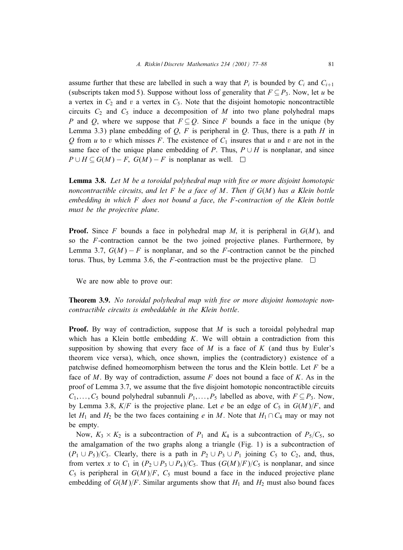assume further that these are labelled in such a way that  $P_i$  is bounded by  $C_i$  and  $C_{i+1}$ (subscripts taken mod 5). Suppose without loss of generality that  $F \subseteq P_3$ . Now, let u be a vertex in  $C_2$  and v a vertex in  $C_5$ . Note that the disjoint homotopic noncontractible circuits  $C_2$  and  $C_5$  induce a decomposition of M into two plane polyhedral maps P and Q, where we suppose that  $F \subseteq Q$ . Since F bounds a face in the unique (by Lemma 3.3) plane embedding of  $Q$ ,  $F$  is peripheral in  $Q$ . Thus, there is a path  $H$  in Q from u to v which misses F. The existence of  $C_1$  insures that u and v are not in the same face of the unique plane embedding of P. Thus,  $P \cup H$  is nonplanar, and since  $P \cup H \subseteq G(M) - F$ ,  $G(M) - F$  is nonplanar as well.  $\square$ 

Lemma 3.8. *Let* M *be a toroidal polyhedral map with 7ve or more disjoint homotopic noncontractible circuits*; *and let* F *be a face of* M. *Then if* G(M) *has a Klein bottle embedding in which* F *does not bound a face*; *the* F-*contraction of the Klein bottle must be the projective plane*.

**Proof.** Since F bounds a face in polyhedral map M, it is peripheral in  $G(M)$ , and so the F-contraction cannot be the two joined projective planes. Furthermore, by Lemma 3.7,  $G(M) - F$  is nonplanar, and so the F-contraction cannot be the pinched torus. Thus, by Lemma 3.6, the F-contraction must be the projective plane.  $\Box$ 

We are now able to prove our:

**Theorem 3.9.** No toroidal polyhedral map with five or more disjoint homotopic non*contractible circuits is embeddable in the Klein bottle*.

**Proof.** By way of contradiction, suppose that  $M$  is such a toroidal polyhedral map which has a Klein bottle embedding  $K$ . We will obtain a contradiction from this supposition by showing that every face of  $M$  is a face of  $K$  (and thus by Euler's theorem vice versa), which, once shown, implies the (contradictory) existence of a patchwise defined homeomorphism between the torus and the Klein bottle. Let  $F$  be a face of M. By way of contradiction, assume F does not bound a face of K. As in the proof of Lemma 3.7, we assume that the five disjoint homotopic noncontractible circuits  $C_1, \ldots, C_5$  bound polyhedral subannuli  $P_1, \ldots, P_5$  labelled as above, with  $F \subseteq P_3$ . Now, by Lemma 3.8,  $K/F$  is the projective plane. Let e be an edge of  $C_5$  in  $G(M)/F$ , and let  $H_1$  and  $H_2$  be the two faces containing e in M. Note that  $H_1 \cap C_4$  may or may not be empty.

Now,  $K_3 \times K_2$  is a subcontraction of  $P_1$  and  $K_4$  is a subcontraction of  $P_5/C_5$ , so the amalgamation of the two graphs along a triangle (Fig. 1) is a subcontraction of  $(P_1 \cup P_5)/C_5$ . Clearly, there is a path in  $P_2 \cup P_3 \cup P_1$  joining  $C_5$  to  $C_2$ , and, thus, from vertex x to  $C_1$  in  $(P_2 \cup P_3 \cup P_4)/C_5$ . Thus  $(G(M)/F)/C_5$  is nonplanar, and since  $C_5$  is peripheral in  $G(M)/F$ ,  $C_5$  must bound a face in the induced projective plane embedding of  $G(M)/F$ . Similar arguments show that  $H_1$  and  $H_2$  must also bound faces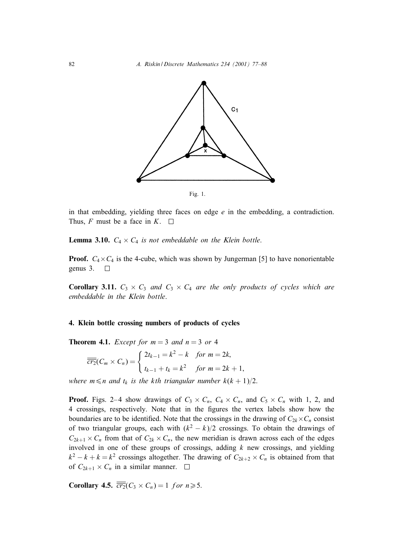82 *A. Riskin / Discrete Mathematics 234 (2001) 77–88*



Fig. 1.

in that embedding, yielding three faces on edge  $e$  in the embedding, a contradiction. Thus, F must be a face in  $K$ .  $\square$ 

**Lemma 3.10.**  $C_4 \times C_4$  *is not embeddable on the Klein bottle.* 

**Proof.**  $C_4 \times C_4$  is the 4-cube, which was shown by Jungerman [5] to have nonorientable genus 3.  $\Box$ 

**Corollary 3.11.**  $C_3 \times C_3$  *and*  $C_3 \times C_4$  *are the only products of cycles which are embeddable in the Klein bottle*.

#### 4. Klein bottle crossing numbers of products of cycles

**Theorem 4.1.** *Except for*  $m = 3$  *and*  $n = 3$  *or* 4

$$
\overline{\overline{cr_2}}(C_m \times C_n) = \begin{cases} 2t_{k-1} = k^2 - k & \text{for } m = 2k, \\ t_{k-1} + t_k = k^2 & \text{for } m = 2k + 1, \end{cases}
$$

*where*  $m \le n$  *and*  $t_k$  *is the kth triangular number*  $k(k + 1)/2$ .

**Proof.** Figs. 2–4 show drawings of  $C_3 \times C_n$ ,  $C_4 \times C_n$ , and  $C_5 \times C_n$  with 1, 2, and 4 crossings, respectively. Note that in the figures the vertex labels show how the boundaries are to be identified. Note that the crossings in the drawing of  $C_{2k} \times C_n$  consist of two triangular groups, each with  $(k^2 - k)/2$  crossings. To obtain the drawings of  $C_{2k+1} \times C_n$  from that of  $C_{2k} \times C_n$ , the new meridian is drawn across each of the edges involved in one of these groups of crossings, adding  $k$  new crossings, and yielding  $k^2 - k + k = k^2$  crossings altogether. The drawing of  $C_{2k+2} \times C_n$  is obtained from that of  $C_{2k+1} \times C_n$  in a similar manner.  $\square$ 

Corollary 4.5.  $\overline{\overline{cr_2}}(C_3 \times C_n) = 1$  for  $n \ge 5$ .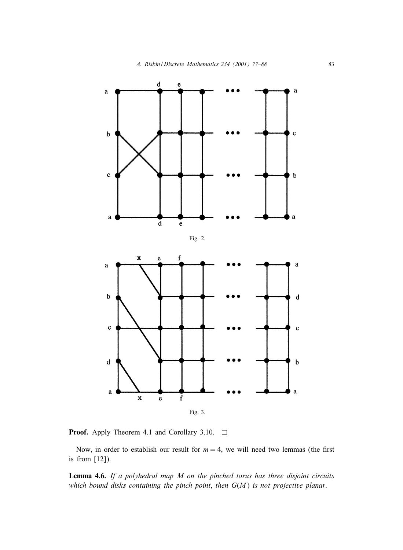

**Proof.** Apply Theorem 4.1 and Corollary 3.10.  $\Box$ 

Now, in order to establish our result for  $m = 4$ , we will need two lemmas (the first is from [12]).

Lemma 4.6. *If a polyhedral map M on the pinched torus has three disjoint circuits which bound disks containing the pinch point*; *then* G(M) *is not projective planar*.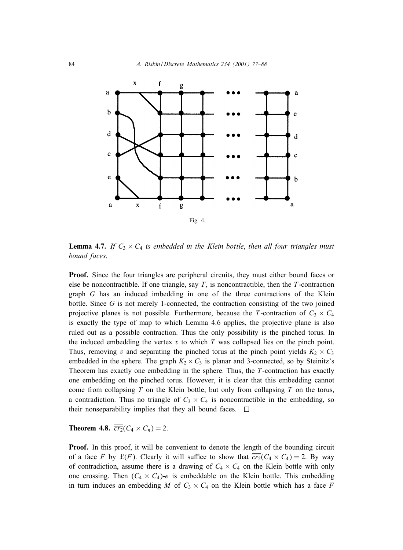

**Lemma 4.7.** If  $C_3 \times C_4$  *is embedded in the Klein bottle, then all four triangles must bound faces*.

Proof. Since the four triangles are peripheral circuits, they must either bound faces or else be noncontractible. If one triangle, say  $T$ , is noncontractible, then the  $T$ -contraction graph G has an induced imbedding in one of the three contractions of the Klein bottle. Since  $G$  is not merely 1-connected, the contraction consisting of the two joined projective planes is not possible. Furthermore, because the T-contraction of  $C_3 \times C_4$ is exactly the type of map to which Lemma 4.6 applies, the projective plane is also ruled out as a possible contraction. Thus the only possibility is the pinched torus. In the induced embedding the vertex  $v$  to which  $T$  was collapsed lies on the pinch point. Thus, removing v and separating the pinched torus at the pinch point yields  $K_2 \times C_3$ embedded in the sphere. The graph  $K_2 \times C_3$  is planar and 3-connected, so by Steinitz's Theorem has exactly one embedding in the sphere. Thus, the  $T$ -contraction has exactly one embedding on the pinched torus. However, it is clear that this embedding cannot come from collapsing  $T$  on the Klein bottle, but only from collapsing  $T$  on the torus, a contradiction. Thus no triangle of  $C_3 \times C_4$  is noncontractible in the embedding, so their nonseparability implies that they all bound faces.  $\Box$ 

**Theorem 4.8.**  $\overline{\overline{cr_2}}(C_4 \times C_n) = 2$ .

**Proof.** In this proof, it will be convenient to denote the length of the bounding circuit of a face F by  $\mathcal{L}(F)$ . Clearly it will suffice to show that  $\overline{cr_2}(C_4 \times C_4) = 2$ . By way of contradiction, assume there is a drawing of  $C_4 \times C_4$  on the Klein bottle with only one crossing. Then  $(C_4 \times C_4)$ -e is embeddable on the Klein bottle. This embedding in turn induces an embedding M of  $C_3 \times C_4$  on the Klein bottle which has a face F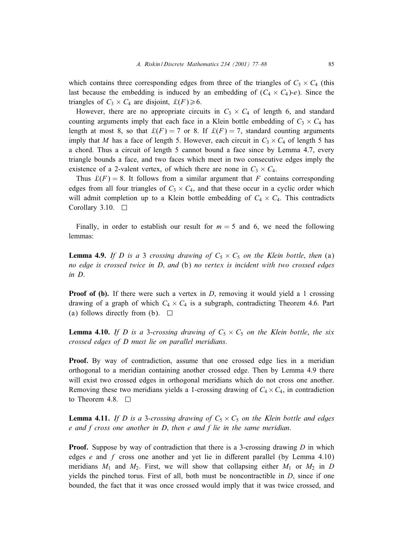which contains three corresponding edges from three of the triangles of  $C_3 \times C_4$  (this last because the embedding is induced by an embedding of  $(C_4 \times C_4)$ -e). Since the triangles of  $C_3 \times C_4$  are disjoint,  $\mathcal{L}(F) \ge 6$ .

However, there are no appropriate circuits in  $C_3 \times C_4$  of length 6, and standard counting arguments imply that each face in a Klein bottle embedding of  $C_3 \times C_4$  has length at most 8, so that  $\mathcal{L}(F) = 7$  or 8. If  $\mathcal{L}(F) = 7$ , standard counting arguments imply that M has a face of length 5. However, each circuit in  $C_3 \times C_4$  of length 5 has a chord. Thus a circuit of length 5 cannot bound a face since byLemma 4.7, every triangle bounds a face, and two faces which meet in two consecutive edges implythe existence of a 2-valent vertex, of which there are none in  $C_3 \times C_4$ .

Thus  $\mathcal{L}(F) = 8$ . It follows from a similar argument that F contains corresponding edges from all four triangles of  $C_3 \times C_4$ , and that these occur in a cyclic order which will admit completion up to a Klein bottle embedding of  $C_4 \times C_4$ . This contradicts Corollary 3.10.  $\Box$ 

Finally, in order to establish our result for  $m = 5$  and 6, we need the following lemmas:

**Lemma 4.9.** If D is a 3 *crossing drawing of*  $C_5 \times C_5$  *on the Klein bottle, then* (a) *no edge is crossed twice in D*; *and* (b) *no vertex is incident with two crossed edges in D*.

**Proof of (b).** If there were such a vertex in  $D$ , removing it would yield a 1 crossing drawing of a graph of which  $C_4 \times C_4$  is a subgraph, contradicting Theorem 4.6. Part (a) follows directly from (b).  $\Box$ 

**Lemma 4.10.** If D is a 3-crossing drawing of  $C_5 \times C_5$  on the Klein bottle, the six *crossed edges of D must lie on parallel meridians*.

**Proof.** By way of contradiction, assume that one crossed edge lies in a meridian orthogonal to a meridian containing another crossed edge. Then by Lemma 4.9 there will exist two crossed edges in orthogonal meridians which do not cross one another. Removing these two meridians yields a 1-crossing drawing of  $C_4 \times C_4$ , in contradiction to Theorem 4.8.  $\Box$ 

**Lemma 4.11.** If D is a 3-*crossing drawing of*  $C_5 \times C_5$  *on the Klein bottle and edges e and f cross one another in D*; *then e and f lie in the same meridian*.

**Proof.** Suppose by way of contradiction that there is a 3-crossing drawing  $D$  in which edges  $e$  and  $f$  cross one another and yet lie in different parallel (by Lemma 4.10) meridians  $M_1$  and  $M_2$ . First, we will show that collapsing either  $M_1$  or  $M_2$  in D yields the pinched torus. First of all, both must be noncontractible in  $D$ , since if one bounded, the fact that it was once crossed would implythat it was twice crossed, and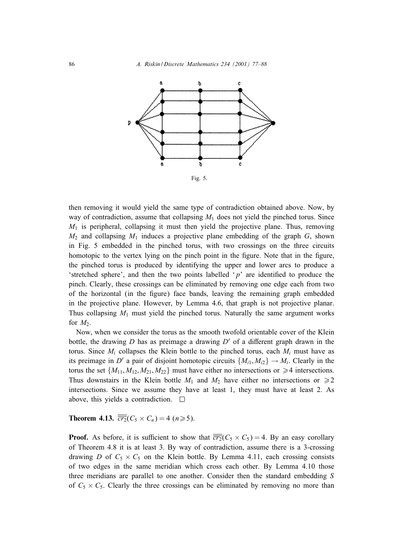

then removing it would yield the same type of contradiction obtained above. Now, by way of contradiction, assume that collapsing  $M_1$  does not yield the pinched torus. Since  $M_1$  is peripheral, collapsing it must then yield the projective plane. Thus, removing  $M_2$  and collapsing  $M_1$  induces a projective plane embedding of the graph G, shown in Fig. 5 embedded in the pinched torus, with two crossings on the three circuits homotopic to the vertex lying on the pinch point in the figure. Note that in the figure, the pinched torus is produced byidentifying the upper and lower arcs to produce a 'stretched sphere', and then the two points labelled ' $p$ ' are identified to produce the pinch. Clearly, these crossings can be eliminated by removing one edge each from two of the horizontal (in the figure) face bands, leaving the remaining graph embedded in the projective plane. However, by Lemma 4.6, that graph is not projective planar. Thus collapsing  $M_1$  must yield the pinched torus. Naturally the same argument works for  $M_2$ .

Now, when we consider the torus as the smooth twofold orientable cover of the Klein bottle, the drawing D has as preimage a drawing  $D'$  of a different graph drawn in the torus. Since  $M_i$  collapses the Klein bottle to the pinched torus, each  $M_i$  must have as its preimage in D' a pair of disjoint homotopic circuits  $\{M_{i1}, M_{i2}\} \rightarrow M_i$ . Clearly in the torus the set  $\{M_{11}, M_{12}, M_{21}, M_{22}\}$  must have either no intersections or  $\geq 4$  intersections. Thus downstairs in the Klein bottle  $M_1$  and  $M_2$  have either no intersections or  $\geq 2$ intersections. Since we assume they have at least 1, they must have at least 2. As above, this yields a contradiction.  $\square$ 

**Theorem 4.13.**  $\overline{\overline{cr_2}}(C_5 \times C_n) = 4 \ (n \geq 5).$ 

**Proof.** As before, it is sufficient to show that  $\overline{cr_2}(C_5 \times C_5) = 4$ . By an easy corollary of Theorem 4.8 it is at least 3. Bywayof contradiction, assume there is a 3-crossing drawing D of  $C_5 \times C_5$  on the Klein bottle. By Lemma 4.11, each crossing consists of two edges in the same meridian which cross each other. ByLemma 4.10 those three meridians are parallel to one another. Consider then the standard embedding S of  $C_5 \times C_5$ . Clearly the three crossings can be eliminated by removing no more than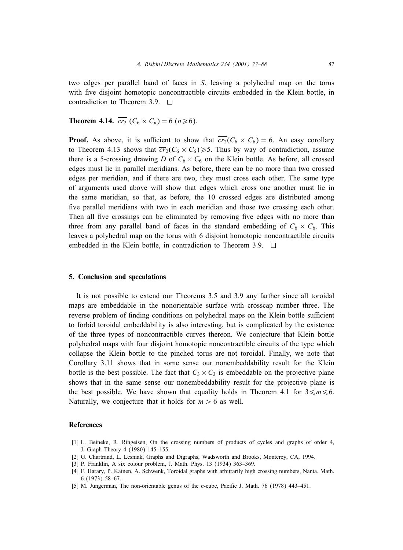two edges per parallel band of faces in S, leaving a polyhedral map on the torus with five disjoint homotopic noncontractible circuits embedded in the Klein bottle, in contradiction to Theorem 3.9. □

**Theorem 4.14.**  $\overline{\overline{cr_2}}$  ( $C_6 \times C_n$ ) = 6 ( $n \ge 6$ ).

**Proof.** As above, it is sufficient to show that  $\overline{cr_2}(C_6 \times C_6) = 6$ . An easy corollary to Theorem 4.13 shows that  $\overline{cr}_2(C_6 \times C_6) \ge 5$ . Thus by way of contradiction, assume there is a 5-crossing drawing D of  $C_6 \times C_6$  on the Klein bottle. As before, all crossed edges must lie in parallel meridians. As before, there can be no more than two crossed edges per meridian, and if there are two, theymust cross each other. The same type of arguments used above will show that edges which cross one another must lie in the same meridian, so that, as before, the 10 crossed edges are distributed among five parallel meridians with two in each meridian and those two crossing each other. Then all five crossings can be eliminated by removing five edges with no more than three from any parallel band of faces in the standard embedding of  $C_6 \times C_6$ . This leaves a polyhedral map on the torus with 6 disjoint homotopic noncontractible circuits embedded in the Klein bottle, in contradiction to Theorem 3.9.  $\Box$ 

#### 5. Conclusion and speculations

It is not possible to extend our Theorems 3.5 and 3.9 anyfarther since all toroidal maps are embeddable in the nonorientable surface with crosscap number three. The reverse problem of finding conditions on polyhedral maps on the Klein bottle sufficient to forbid toroidal embeddability is also interesting, but is complicated by the existence of the three types of noncontractible curves thereon. We conjecture that Klein bottle polyhedral maps with four disjoint homotopic noncontractible circuits of the type which collapse the Klein bottle to the pinched torus are not toroidal. Finally, we note that Corollary 3.11 shows that in some sense our nonembeddability result for the Klein bottle is the best possible. The fact that  $C_3 \times C_3$  is embeddable on the projective plane shows that in the same sense our nonembeddability result for the projective plane is the best possible. We have shown that equality holds in Theorem 4.1 for  $3 \le m \le 6$ . Naturally, we conjecture that it holds for  $m > 6$  as well.

#### References

- [1] L. Beineke, R. Ringeisen, On the crossing numbers of products of cycles and graphs of order 4, J. Graph Theory4 (1980) 145–155.
- [2] G. Chartrand, L. Lesniak, Graphs and Digraphs, Wadsworth and Brooks, Monterey, CA, 1994.
- [3] P. Franklin, A six colour problem, J. Math. Phys. 13 (1934) 363-369.
- [4] F. Harary, P. Kainen, A. Schwenk, Toroidal graphs with arbitrarily high crossing numbers, Nanta. Math. 6 (1973) 58–67.
- [5] M. Jungerman, The non-orientable genus of the *n*-cube, Pacific J. Math. 76 (1978)  $443-451$ .